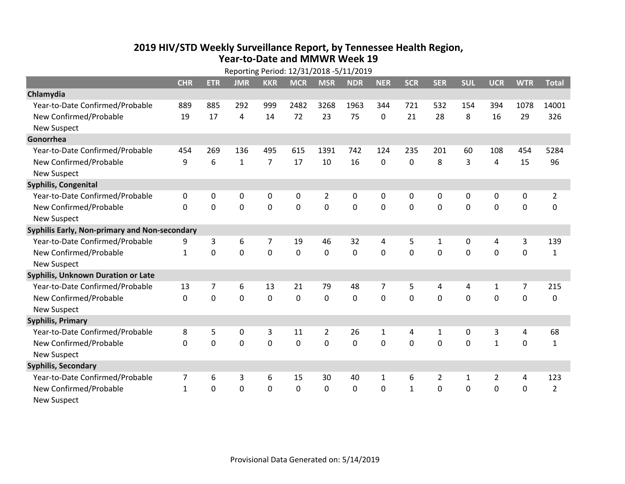## **2019 HIV /STD Weekly Surveillance Report, by Tennessee Health Region, Year‐to‐Date and MMWR Week 19** Reporting Period: 12/31/2018 ‐5/11/2019

| Reporting Period: 12/31/2018 -5/11/2019       |              |             |                |                |             |                |             |              |              |                |             |                |             |                |
|-----------------------------------------------|--------------|-------------|----------------|----------------|-------------|----------------|-------------|--------------|--------------|----------------|-------------|----------------|-------------|----------------|
|                                               | <b>CHR</b>   | <b>ETR</b>  | <b>JMR</b>     | <b>KKR</b>     | <b>MCR</b>  | <b>MSR</b>     | <b>NDR</b>  | <b>NER</b>   | <b>SCR</b>   | <b>SER</b>     | <b>SUL</b>  | <b>UCR</b>     | <b>WTR</b>  | <b>Total</b>   |
| Chlamydia                                     |              |             |                |                |             |                |             |              |              |                |             |                |             |                |
| Year-to-Date Confirmed/Probable               | 889          | 885         | 292            | 999            | 2482        | 3268           | 1963        | 344          | 721          | 532            | 154         | 394            | 1078        | 14001          |
| New Confirmed/Probable                        | 19           | 17          | 4              | 14             | 72          | 23             | 75          | 0            | 21           | 28             | 8           | 16             | 29          | 326            |
| <b>New Suspect</b>                            |              |             |                |                |             |                |             |              |              |                |             |                |             |                |
| Gonorrhea                                     |              |             |                |                |             |                |             |              |              |                |             |                |             |                |
| Year-to-Date Confirmed/Probable               | 454          | 269         | 136            | 495            | 615         | 1391           | 742         | 124          | 235          | 201            | 60          | 108            | 454         | 5284           |
| New Confirmed/Probable                        | 9            | 6           | $\mathbf{1}$   | $\overline{7}$ | 17          | 10             | 16          | $\mathbf{0}$ | $\mathbf{0}$ | 8              | 3           | $\overline{4}$ | 15          | 96             |
| <b>New Suspect</b>                            |              |             |                |                |             |                |             |              |              |                |             |                |             |                |
| Syphilis, Congenital                          |              |             |                |                |             |                |             |              |              |                |             |                |             |                |
| Year-to-Date Confirmed/Probable               | 0            | $\mathbf 0$ | $\mathbf 0$    | 0              | 0           | $\overline{2}$ | 0           | 0            | 0            | 0              | 0           | 0              | 0           | $\overline{2}$ |
| New Confirmed/Probable                        | $\Omega$     | $\mathbf 0$ | $\mathbf 0$    | $\overline{0}$ | $\mathbf 0$ | $\mathbf 0$    | 0           | $\mathbf 0$  | 0            | $\mathbf 0$    | $\mathbf 0$ | $\mathbf 0$    | $\mathbf 0$ | 0              |
| <b>New Suspect</b>                            |              |             |                |                |             |                |             |              |              |                |             |                |             |                |
| Syphilis Early, Non-primary and Non-secondary |              |             |                |                |             |                |             |              |              |                |             |                |             |                |
| Year-to-Date Confirmed/Probable               | 9            | 3           | 6              | 7              | 19          | 46             | 32          | 4            | 5            | 1              | 0           | 4              | 3           | 139            |
| New Confirmed/Probable                        | $\mathbf{1}$ | 0           | $\mathbf 0$    | $\overline{0}$ | $\mathbf 0$ | $\mathbf 0$    | 0           | $\Omega$     | $\Omega$     | $\overline{0}$ | $\mathbf 0$ | $\mathbf 0$    | $\mathbf 0$ | $\mathbf{1}$   |
| <b>New Suspect</b>                            |              |             |                |                |             |                |             |              |              |                |             |                |             |                |
| Syphilis, Unknown Duration or Late            |              |             |                |                |             |                |             |              |              |                |             |                |             |                |
| Year-to-Date Confirmed/Probable               | 13           | 7           | 6              | 13             | 21          | 79             | 48          | 7            | 5            | 4              | 4           | $\mathbf{1}$   | 7           | 215            |
| New Confirmed/Probable                        | 0            | $\mathbf 0$ | 0              | 0              | $\mathbf 0$ | 0              | 0           | $\Omega$     | $\Omega$     | 0              | 0           | 0              | $\mathbf 0$ | 0              |
| <b>New Suspect</b>                            |              |             |                |                |             |                |             |              |              |                |             |                |             |                |
| <b>Syphilis, Primary</b>                      |              |             |                |                |             |                |             |              |              |                |             |                |             |                |
| Year-to-Date Confirmed/Probable               | 8            | 5           | 0              | 3              | 11          | $\overline{2}$ | 26          | $\mathbf{1}$ | 4            | 1              | 0           | 3              | 4           | 68             |
| New Confirmed/Probable                        | 0            | 0           | $\overline{0}$ | $\overline{0}$ | $\mathbf 0$ | $\overline{0}$ | $\mathbf 0$ | $\Omega$     | $\Omega$     | $\Omega$       | $\mathbf 0$ | $\mathbf{1}$   | $\mathbf 0$ | $\mathbf{1}$   |
| <b>New Suspect</b>                            |              |             |                |                |             |                |             |              |              |                |             |                |             |                |
| <b>Syphilis, Secondary</b>                    |              |             |                |                |             |                |             |              |              |                |             |                |             |                |
| Year-to-Date Confirmed/Probable               | 7            | 6           | 3              | 6              | 15          | 30             | 40          | 1            | 6            | 2              | 1           | 2              | 4           | 123            |
| New Confirmed/Probable                        | $\mathbf{1}$ | 0           | 0              | 0              | $\mathbf 0$ | 0              | $\Omega$    | $\Omega$     | $\mathbf{1}$ | $\Omega$       | $\Omega$    | 0              | $\mathbf 0$ | $\overline{2}$ |
| <b>New Suspect</b>                            |              |             |                |                |             |                |             |              |              |                |             |                |             |                |